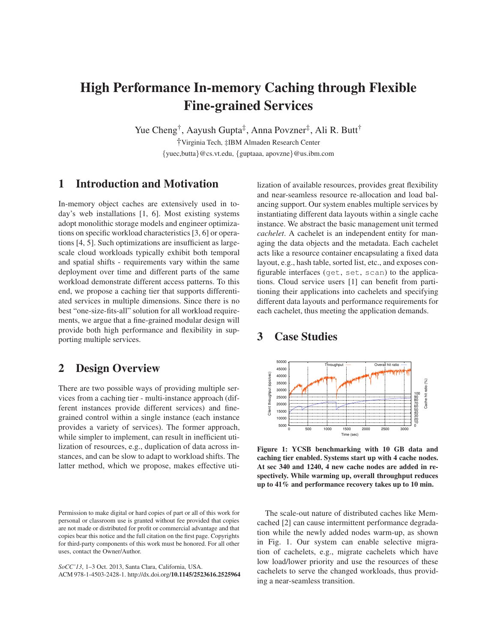## **High Performance In-memory Caching through Flexible Fine-grained Services**

Yue Cheng<sup>†</sup>, Aayush Gupta<sup>‡</sup>, Anna Povzner<sup>‡</sup>, Ali R. Butt<sup>†</sup> †Virginia Tech, ‡IBM Almaden Research Center {yuec,butta}@cs.vt.edu, {guptaaa, apovzne}@us.ibm.com

**1 Introduction and Motivation**

In-memory object caches are extensively used in today's web installations [1, 6]. Most existing systems adopt monolithic storage models and engineer optimizations on specific workload characteristics [3, 6] or operations [4, 5]. Such optimizations are insufficient as largescale cloud workloads typically exhibit both temporal and spatial shifts - requirements vary within the same deployment over time and different parts of the same workload demonstrate different access patterns. To this end, we propose a caching tier that supports differentiated services in multiple dimensions. Since there is no best "one-size-fits-all" solution for all workload requirements, we argue that a fine-grained modular design will provide both high performance and flexibility in supporting multiple services.

## **2 Design Overview**

There are two possible ways of providing multiple services from a caching tier - multi-instance approach (different instances provide different services) and finegrained control within a single instance (each instance provides a variety of services). The former approach, while simpler to implement, can result in inefficient utilization of resources, e.g., duplication of data across instances, and can be slow to adapt to workload shifts. The latter method, which we propose, makes effective uti-

*SoCC'13*, 1–3 Oct. 2013, Santa Clara, California, USA. ACM 978-1-4503-2428-1. http://dx.doi.org/**10.1145/2523616.2525964** lization of available resources, provides great flexibility and near-seamless resource re-allocation and load balancing support. Our system enables multiple services by instantiating different data layouts within a single cache instance. We abstract the basic management unit termed *cachelet*. A cachelet is an independent entity for managing the data objects and the metadata. Each cachelet acts like a resource container encapsulating a fixed data layout, e.g., hash table, sorted list, etc., and exposes configurable interfaces (get, set, scan) to the applications. Cloud service users [1] can benefit from partitioning their applications into cachelets and specifying different data layouts and performance requirements for each cachelet, thus meeting the application demands.

## **3 Case Studies**



**Figure 1: YCSB benchmarking with 10 GB data and caching tier enabled. Systems start up with 4 cache nodes. At sec 340 and 1240, 4 new cache nodes are added in respectively. While warming up, overall throughput reduces up to 41% and performance recovery takes up to 10 min.**

The scale-out nature of distributed caches like Memcached [2] can cause intermittent performance degradation while the newly added nodes warm-up, as shown in Fig. 1. Our system can enable selective migration of cachelets, e.g., migrate cachelets which have low load/lower priority and use the resources of these cachelets to serve the changed workloads, thus providing a near-seamless transition.

Permission to make digital or hard copies of part or all of this work for personal or classroom use is granted without fee provided that copies are not made or distributed for profit or commercial advantage and that copies bear this notice and the full citation on the first page. Copyrights for third-party components of this work must be honored. For all other uses, contact the Owner/Author.